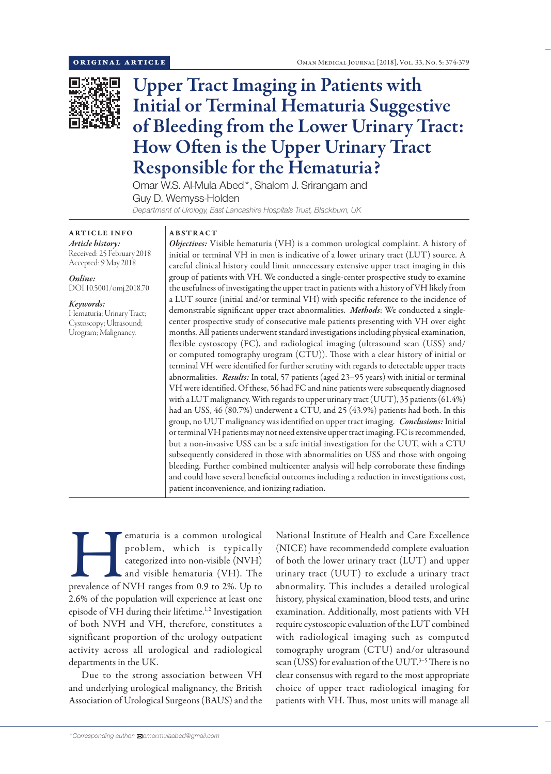

# Upper Tract Imaging in Patients with Initial or Terminal Hematuria Suggestive of Bleeding from the Lower Urinary Tract: How Often is the Upper Urinary Tract Responsible for the Hematuria?

Omar W.S. Al-Mula Abed\*, Shalom J. Srirangam and Guy D. Wemyss-Holden *Department of Urology, East Lancashire Hospitals Trust, Blackburn, UK*

ARTICLE INFO *Article history:* Received: 25 February 2018

Accepted: 9 May 2018 *Online:*

DOI 10.5001/omj.2018.70

## *Keywords:*

Hematuria; Urinary Tract; Cystoscopy; Ultrasound; Urogram; Malignancy.

# ABSTRACT

*Objectives:* Visible hematuria (VH) is a common urological complaint. A history of initial or terminal VH in men is indicative of a lower urinary tract (LUT) source. A careful clinical history could limit unnecessary extensive upper tract imaging in this group of patients with VH. We conducted a single-center prospective study to examine the usefulness of investigating the upper tract in patients with a history of VH likely from a LUT source (initial and/or terminal VH) with specific reference to the incidence of demonstrable significant upper tract abnormalities. *Methods*: We conducted a singlecenter prospective study of consecutive male patients presenting with VH over eight months. All patients underwent standard investigations including physical examination, flexible cystoscopy (FC), and radiological imaging (ultrasound scan (USS) and/ or computed tomography urogram (CTU)). Those with a clear history of initial or terminal VH were identified for further scrutiny with regards to detectable upper tracts abnormalities. *Results:* In total, 57 patients (aged 23–95 years) with initial or terminal VH were identified. Of these, 56 had FC and nine patients were subsequently diagnosed with a LUT malignancy. With regards to upper urinary tract (UUT), 35 patients (61.4%) had an USS, 46 (80.7%) underwent a CTU, and 25 (43.9%) patients had both. In this group, no UUT malignancy was identified on upper tract imaging. *Conclusions:* Initial or terminal VH patients may not need extensive upper tract imaging. FC is recommended, but a non-invasive USS can be a safe initial investigation for the UUT, with a CTU subsequently considered in those with abnormalities on USS and those with ongoing bleeding. Further combined multicenter analysis will help corroborate these findings and could have several beneficial outcomes including a reduction in investigations cost, patient inconvenience, and ionizing radiation.

ematuria is a common urological<br>
problem, which is typically<br>
categorized into non-visible (NVH)<br>
and visible hematuria (VH). The<br>
prevalence of NVH ranges from 0.9 to 2%. Up to problem, which is typically categorized into non-visible (NVH) and visible hematuria (VH). The 2.6% of the population will experience at least one episode of VH during their lifetime.<sup>1,2</sup> Investigation of both NVH and VH, therefore, constitutes a significant proportion of the urology outpatient activity across all urological and radiological departments in the UK.

Due to the strong association between VH and underlying urological malignancy, the British Association of Urological Surgeons (BAUS) and the National Institute of Health and Care Excellence (NICE) have recommendedd complete evaluation of both the lower urinary tract (LUT) and upper urinary tract (UUT) to exclude a urinary tract abnormality. This includes a detailed urological history, physical examination, blood tests, and urine examination. Additionally, most patients with VH require cystoscopic evaluation of the LUT combined with radiological imaging such as computed tomography urogram (CTU) and/or ultrasound scan (USS) for evaluation of the UUT. 3–5 There is no clear consensus with regard to the most appropriate choice of upper tract radiological imaging for patients with VH. Thus, most units will manage all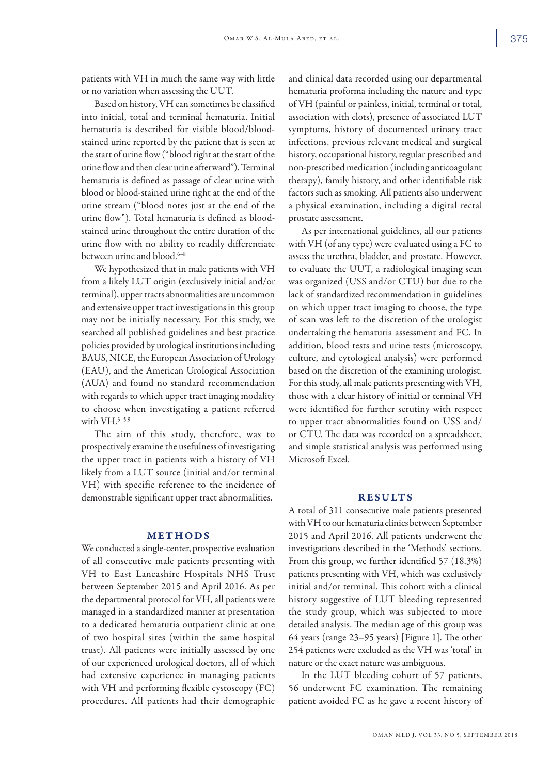patients with VH in much the same way with little or no variation when assessing the UUT.

Based on history, VH can sometimes be classified into initial, total and terminal hematuria. Initial hematuria is described for visible blood/bloodstained urine reported by the patient that is seen at the start of urine flow ("blood right at the start of the urine flow and then clear urine afterward"). Terminal hematuria is defined as passage of clear urine with blood or blood-stained urine right at the end of the urine stream ("blood notes just at the end of the urine flow"). Total hematuria is defined as bloodstained urine throughout the entire duration of the urine flow with no ability to readily differentiate between urine and blood.<sup>6-8</sup>

We hypothesized that in male patients with VH from a likely LUT origin (exclusively initial and/or terminal), upper tracts abnormalities are uncommon and extensive upper tract investigations in this group may not be initially necessary. For this study, we searched all published guidelines and best practice policies provided by urological institutions including BAUS, NICE, the European Association of Urology (EAU), and the American Urological Association (AUA) and found no standard recommendation with regards to which upper tract imaging modality to choose when investigating a patient referred with VH.<sup>3-5,9</sup>

The aim of this study, therefore, was to prospectively examine the usefulness of investigating the upper tract in patients with a history of VH likely from a LUT source (initial and/or terminal VH) with specific reference to the incidence of demonstrable significant upper tract abnormalities.

#### METHODS

We conducted a single-center, prospective evaluation of all consecutive male patients presenting with VH to East Lancashire Hospitals NHS Trust between September 2015 and April 2016. As per the departmental protocol for VH, all patients were managed in a standardized manner at presentation to a dedicated hematuria outpatient clinic at one of two hospital sites (within the same hospital trust). All patients were initially assessed by one of our experienced urological doctors, all of which had extensive experience in managing patients with VH and performing flexible cystoscopy (FC) procedures. All patients had their demographic and clinical data recorded using our departmental hematuria proforma including the nature and type of VH (painful or painless, initial, terminal or total, association with clots), presence of associated LUT symptoms, history of documented urinary tract infections, previous relevant medical and surgical history, occupational history, regular prescribed and non-prescribed medication (including anticoagulant therapy), family history, and other identifiable risk factors such as smoking. All patients also underwent a physical examination, including a digital rectal prostate assessment.

As per international guidelines, all our patients with VH (of any type) were evaluated using a FC to assess the urethra, bladder, and prostate. However, to evaluate the UUT, a radiological imaging scan was organized (USS and/or CTU) but due to the lack of standardized recommendation in guidelines on which upper tract imaging to choose, the type of scan was left to the discretion of the urologist undertaking the hematuria assessment and FC. In addition, blood tests and urine tests (microscopy, culture, and cytological analysis) were performed based on the discretion of the examining urologist. For this study, all male patients presenting with VH, those with a clear history of initial or terminal VH were identified for further scrutiny with respect to upper tract abnormalities found on USS and/ or CTU. The data was recorded on a spreadsheet, and simple statistical analysis was performed using Microsoft Excel.

## RESULTS

A total of 311 consecutive male patients presented with VH to our hematuria clinics between September 2015 and April 2016. All patients underwent the investigations described in the 'Methods' sections. From this group, we further identified 57 (18.3%) patients presenting with VH, which was exclusively initial and/or terminal. This cohort with a clinical history suggestive of LUT bleeding represented the study group, which was subjected to more detailed analysis. The median age of this group was 64 years (range 23–95 years) [Figure 1]. The other 254 patients were excluded as the VH was 'total' in nature or the exact nature was ambiguous.

In the LUT bleeding cohort of 57 patients, 56 underwent FC examination. The remaining patient avoided FC as he gave a recent history of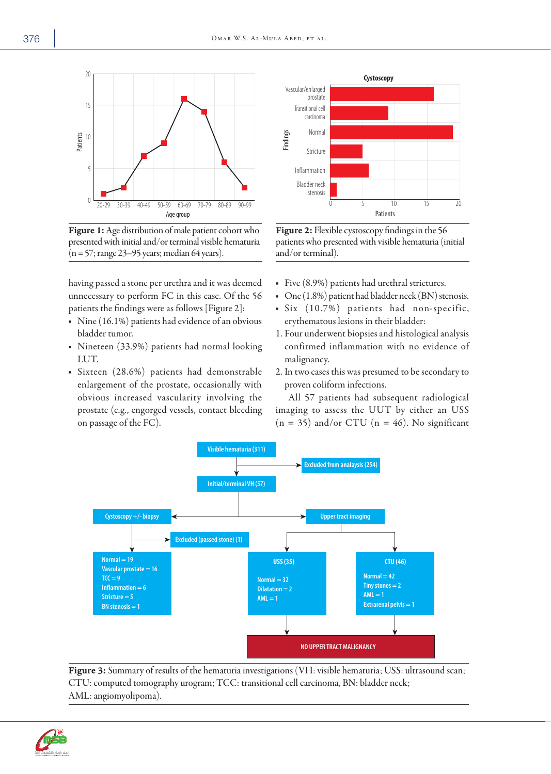

Figure 1: Age distribution of male patient cohort who presented with initial and/or terminal visible hematuria  $(n = 57;$  range 23–95 years; median 64 years).

having passed a stone per urethra and it was deemed unnecessary to perform FC in this case. Of the 56 patients the findings were as follows [Figure 2]:

- Nine (16.1%) patients had evidence of an obvious bladder tumor.
- Nineteen (33.9%) patients had normal looking LUT.
- Sixteen (28.6%) patients had demonstrable enlargement of the prostate, occasionally with obvious increased vascularity involving the prostate (e.g., engorged vessels, contact bleeding on passage of the FC).



Figure 2: Flexible cystoscopy findings in the 56 patients who presented with visible hematuria (initial and/or terminal).

- Five (8.9%) patients had urethral strictures.
- One (1.8%) patient had bladder neck (BN) stenosis.
- Six (10.7%) patients had non-specific, erythematous lesions in their bladder:
- 1. Four underwent biopsies and histological analysis confirmed inflammation with no evidence of malignancy.
- 2. In two cases this was presumed to be secondary to proven coliform infections.

All 57 patients had subsequent radiological imaging to assess the UUT by either an USS  $(n = 35)$  and/or CTU  $(n = 46)$ . No significant



Figure 3: Summary of results of the hematuria investigations (VH: visible hematuria; USS: ultrasound scan; CTU: computed tomography urogram; TCC: transitional cell carcinoma, BN: bladder neck; AML: angiomyolipoma).

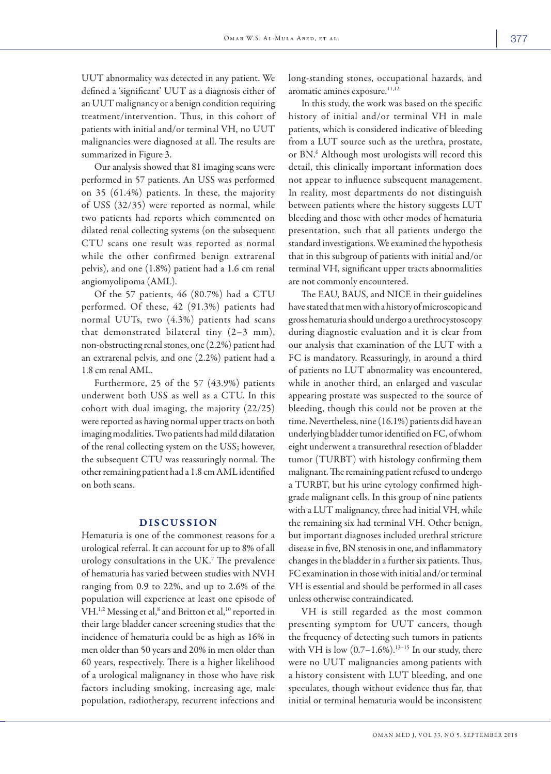UUT abnormality was detected in any patient. We defined a 'significant' UUT as a diagnosis either of an UUT malignancy or a benign condition requiring treatment/intervention. Thus, in this cohort of patients with initial and/or terminal VH, no UUT malignancies were diagnosed at all. The results are summarized in Figure 3.

Our analysis showed that 81 imaging scans were performed in 57 patients. An USS was performed on 35 (61.4%) patients. In these, the majority of USS (32/35) were reported as normal, while two patients had reports which commented on dilated renal collecting systems (on the subsequent CTU scans one result was reported as normal while the other confirmed benign extrarenal pelvis), and one (1.8%) patient had a 1.6 cm renal angiomyolipoma (AML).

Of the 57 patients, 46 (80.7%) had a CTU performed. Of these, 42 (91.3%) patients had normal UUTs, two (4.3%) patients had scans that demonstrated bilateral tiny (2–3 mm), non-obstructing renal stones, one (2.2%) patient had an extrarenal pelvis, and one (2.2%) patient had a 1.8 cm renal AML.

Furthermore, 25 of the 57 (43.9%) patients underwent both USS as well as a CTU. In this cohort with dual imaging, the majority (22/25) were reported as having normal upper tracts on both imaging modalities. Two patients had mild dilatation of the renal collecting system on the USS; however, the subsequent CTU was reassuringly normal. The other remaining patient had a 1.8 cm AML identified on both scans.

## DISCUSSION

Hematuria is one of the commonest reasons for a urological referral. It can account for up to 8% of all urology consultations in the UK.7 The prevalence of hematuria has varied between studies with NVH ranging from 0.9 to 22%, and up to 2.6% of the population will experience at least one episode of VH.<sup>1,2</sup> Messing et al,<sup>8</sup> and Britton et al,<sup>10</sup> reported in their large bladder cancer screening studies that the incidence of hematuria could be as high as 16% in men older than 50 years and 20% in men older than 60 years, respectively. There is a higher likelihood of a urological malignancy in those who have risk factors including smoking, increasing age, male population, radiotherapy, recurrent infections and

long-standing stones, occupational hazards, and aromatic amines exposure.<sup>11,12</sup>

In this study, the work was based on the specific history of initial and/or terminal VH in male patients, which is considered indicative of bleeding from a LUT source such as the urethra, prostate, or BN. <sup>6</sup> Although most urologists will record this detail, this clinically important information does not appear to influence subsequent management. In reality, most departments do not distinguish between patients where the history suggests LUT bleeding and those with other modes of hematuria presentation, such that all patients undergo the standard investigations. We examined the hypothesis that in this subgroup of patients with initial and/or terminal VH, significant upper tracts abnormalities are not commonly encountered.

The EAU, BAUS, and NICE in their guidelines have stated that men with a history of microscopic and gross hematuria should undergo a urethrocystoscopy during diagnostic evaluation and it is clear from our analysis that examination of the LUT with a FC is mandatory. Reassuringly, in around a third of patients no LUT abnormality was encountered, while in another third, an enlarged and vascular appearing prostate was suspected to the source of bleeding, though this could not be proven at the time. Nevertheless, nine (16.1%) patients did have an underlying bladder tumor identified on FC, of whom eight underwent a transurethral resection of bladder tumor (TURBT) with histology confirming them malignant. The remaining patient refused to undergo a TURBT, but his urine cytology confirmed highgrade malignant cells. In this group of nine patients with a LUT malignancy, three had initial VH, while the remaining six had terminal VH. Other benign, but important diagnoses included urethral stricture disease in five, BN stenosis in one, and inflammatory changes in the bladder in a further six patients. Thus, FC examination in those with initial and/or terminal VH is essential and should be performed in all cases unless otherwise contraindicated.

VH is still regarded as the most common presenting symptom for UUT cancers, though the frequency of detecting such tumors in patients with VH is low  $(0.7-1.6\%)$ .<sup>13-15</sup> In our study, there were no UUT malignancies among patients with a history consistent with LUT bleeding, and one speculates, though without evidence thus far, that initial or terminal hematuria would be inconsistent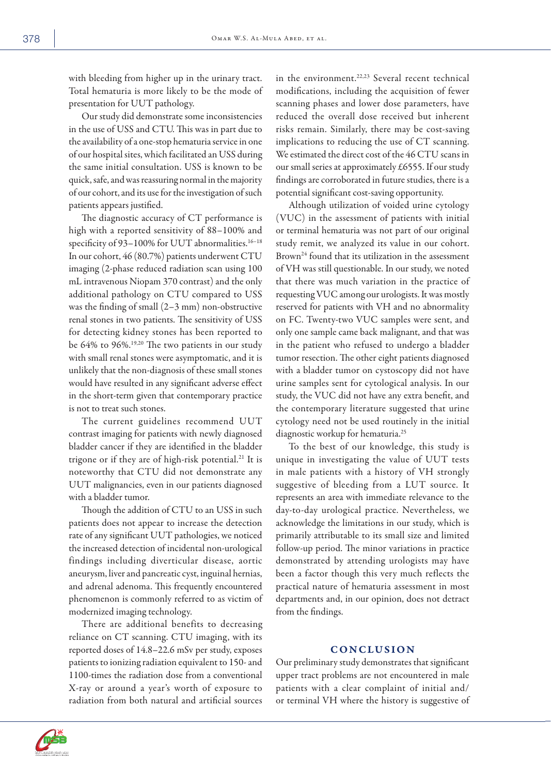with bleeding from higher up in the urinary tract. Total hematuria is more likely to be the mode of presentation for UUT pathology.

Our study did demonstrate some inconsistencies in the use of USS and CTU. This was in part due to the availability of a one-stop hematuria service in one of our hospital sites, which facilitated an USS during the same initial consultation. USS is known to be quick, safe, and was reassuring normal in the majority of our cohort, and its use for the investigation of such patients appears justified.

The diagnostic accuracy of CT performance is high with a reported sensitivity of 88–100% and specificity of 93-100% for UUT abnormalities.<sup>16-18</sup> In our cohort, 46 (80.7%) patients underwent CTU imaging (2-phase reduced radiation scan using 100 mL intravenous Niopam 370 contrast) and the only additional pathology on CTU compared to USS was the finding of small (2–3 mm) non-obstructive renal stones in two patients. The sensitivity of USS for detecting kidney stones has been reported to be 64% to 96%.19,20 The two patients in our study with small renal stones were asymptomatic, and it is unlikely that the non-diagnosis of these small stones would have resulted in any significant adverse effect in the short-term given that contemporary practice is not to treat such stones.

The current guidelines recommend UUT contrast imaging for patients with newly diagnosed bladder cancer if they are identified in the bladder trigone or if they are of high-risk potential.<sup>21</sup> It is noteworthy that CTU did not demonstrate any UUT malignancies, even in our patients diagnosed with a bladder tumor.

Though the addition of CTU to an USS in such patients does not appear to increase the detection rate of any significant UUT pathologies, we noticed the increased detection of incidental non-urological findings including diverticular disease, aortic aneurysm, liver and pancreatic cyst, inguinal hernias, and adrenal adenoma. This frequently encountered phenomenon is commonly referred to as victim of modernized imaging technology.

There are additional benefits to decreasing reliance on CT scanning. CTU imaging, with its reported doses of 14.8–22.6 mSv per study, exposes patients to ionizing radiation equivalent to 150- and 1100-times the radiation dose from a conventional X-ray or around a year's worth of exposure to radiation from both natural and artificial sources

in the environment.<sup>22,23</sup> Several recent technical modifications, including the acquisition of fewer scanning phases and lower dose parameters, have reduced the overall dose received but inherent risks remain. Similarly, there may be cost-saving implications to reducing the use of CT scanning. We estimated the direct cost of the 46 CTU scans in our small series at approximately £6555. If our study findings are corroborated in future studies, there is a potential significant cost-saving opportunity.

Although utilization of voided urine cytology (VUC) in the assessment of patients with initial or terminal hematuria was not part of our original study remit, we analyzed its value in our cohort. Brown<sup>24</sup> found that its utilization in the assessment of VH was still questionable. In our study, we noted that there was much variation in the practice of requesting VUC among our urologists. It was mostly reserved for patients with VH and no abnormality on FC. Twenty-two VUC samples were sent, and only one sample came back malignant, and that was in the patient who refused to undergo a bladder tumor resection. The other eight patients diagnosed with a bladder tumor on cystoscopy did not have urine samples sent for cytological analysis. In our study, the VUC did not have any extra benefit, and the contemporary literature suggested that urine cytology need not be used routinely in the initial diagnostic workup for hematuria.<sup>25</sup>

To the best of our knowledge, this study is unique in investigating the value of UUT tests in male patients with a history of VH strongly suggestive of bleeding from a LUT source. It represents an area with immediate relevance to the day-to-day urological practice. Nevertheless, we acknowledge the limitations in our study, which is primarily attributable to its small size and limited follow-up period. The minor variations in practice demonstrated by attending urologists may have been a factor though this very much reflects the practical nature of hematuria assessment in most departments and, in our opinion, does not detract from the findings.

## CONCLUSION

Our preliminary study demonstrates that significant upper tract problems are not encountered in male patients with a clear complaint of initial and/ or terminal VH where the history is suggestive of